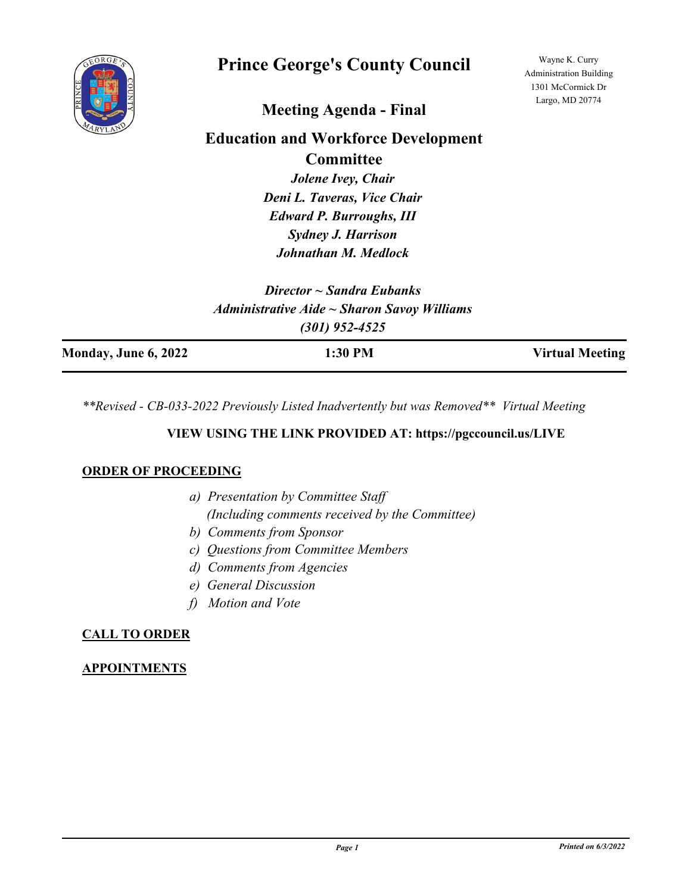

# **Prince George's County Council**

Wayne K. Curry Administration Building 1301 McCormick Dr Largo, MD 20774

## **Meeting Agenda - Final**

## **Education and Workforce Development Committee**

*Jolene Ivey, Chair Deni L. Taveras, Vice Chair Edward P. Burroughs, III Sydney J. Harrison Johnathan M. Medlock*

*Director ~ Sandra Eubanks Administrative Aide ~ Sharon Savoy Williams (301) 952-4525*

| Monday, June 6, 2022 | 1:30 PM | <b>Virtual Meeting</b> |
|----------------------|---------|------------------------|
|                      |         |                        |

*\*\*Revised - CB-033-2022 Previously Listed Inadvertently but was Removed\*\* Virtual Meeting*

## **VIEW USING THE LINK PROVIDED AT: https://pgccouncil.us/LIVE**

## **ORDER OF PROCEEDING**

- *a) Presentation by Committee Staff (Including comments received by the Committee)*
- *b) Comments from Sponsor*
- *c) Questions from Committee Members*
- *d) Comments from Agencies*
- *e) General Discussion*
- *f) Motion and Vote*

## **CALL TO ORDER**

## **APPOINTMENTS**